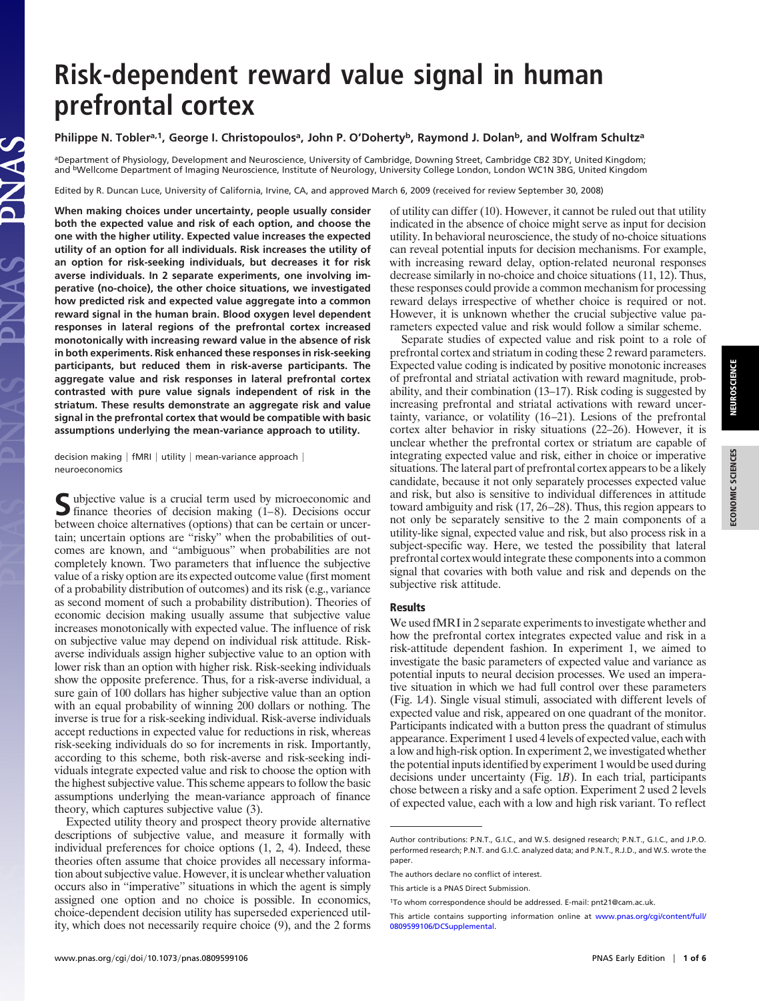# **Risk-dependent reward value signal in human prefrontal cortex**

## Philippe N. Tobler<sup>a,1</sup>, George I. Christopoulos<sup>a</sup>, John P. O'Doherty<sup>b</sup>, Raymond J. Dolan<sup>b</sup>, and Wolfram Schultz<sup>a</sup>

aDepartment of Physiology, Development and Neuroscience, University of Cambridge, Downing Street, Cambridge CB2 3DY, United Kingdom; and <sup>b</sup>Wellcome Department of Imaging Neuroscience, Institute of Neurology, University College London, London WC1N 3BG, United Kingdom

Edited by R. Duncan Luce, University of California, Irvine, CA, and approved March 6, 2009 (received for review September 30, 2008)

**When making choices under uncertainty, people usually consider both the expected value and risk of each option, and choose the one with the higher utility. Expected value increases the expected utility of an option for all individuals. Risk increases the utility of an option for risk-seeking individuals, but decreases it for risk averse individuals. In 2 separate experiments, one involving imperative (no-choice), the other choice situations, we investigated how predicted risk and expected value aggregate into a common reward signal in the human brain. Blood oxygen level dependent responses in lateral regions of the prefrontal cortex increased monotonically with increasing reward value in the absence of risk in both experiments. Risk enhanced these responses in risk-seeking participants, but reduced them in risk-averse participants. The aggregate value and risk responses in lateral prefrontal cortex contrasted with pure value signals independent of risk in the striatum. These results demonstrate an aggregate risk and value signal in the prefrontal cortex that would be compatible with basic assumptions underlying the mean-variance approach to utility.**

decision making  $\mid$  fMRI  $\mid$  utility  $\mid$  mean-variance approach  $\mid$ neuroeconomics

Subjective value is a crucial term used by microeconomic and finance theories of decision making (1–8). Decisions occur between choice alternatives (options) that can be certain or uncertain; uncertain options are "risky" when the probabilities of outcomes are known, and ''ambiguous'' when probabilities are not completely known. Two parameters that influence the subjective value of a risky option are its expected outcome value (first moment of a probability distribution of outcomes) and its risk (e.g., variance as second moment of such a probability distribution). Theories of economic decision making usually assume that subjective value increases monotonically with expected value. The influence of risk on subjective value may depend on individual risk attitude. Riskaverse individuals assign higher subjective value to an option with lower risk than an option with higher risk. Risk-seeking individuals show the opposite preference. Thus, for a risk-averse individual, a sure gain of 100 dollars has higher subjective value than an option with an equal probability of winning 200 dollars or nothing. The inverse is true for a risk-seeking individual. Risk-averse individuals accept reductions in expected value for reductions in risk, whereas risk-seeking individuals do so for increments in risk. Importantly, according to this scheme, both risk-averse and risk-seeking individuals integrate expected value and risk to choose the option with the highest subjective value. This scheme appears to follow the basic assumptions underlying the mean-variance approach of finance theory, which captures subjective value (3).

Expected utility theory and prospect theory provide alternative descriptions of subjective value, and measure it formally with individual preferences for choice options (1, 2, 4). Indeed, these theories often assume that choice provides all necessary information about subjective value. However, it is unclear whether valuation occurs also in ''imperative'' situations in which the agent is simply assigned one option and no choice is possible. In economics, choice-dependent decision utility has superseded experienced utility, which does not necessarily require choice (9), and the 2 forms

of utility can differ (10). However, it cannot be ruled out that utility indicated in the absence of choice might serve as input for decision utility. In behavioral neuroscience, the study of no-choice situations can reveal potential inputs for decision mechanisms. For example, with increasing reward delay, option-related neuronal responses decrease similarly in no-choice and choice situations (11, 12). Thus, these responses could provide a common mechanism for processing reward delays irrespective of whether choice is required or not. However, it is unknown whether the crucial subjective value parameters expected value and risk would follow a similar scheme.

Separate studies of expected value and risk point to a role of prefrontal cortex and striatum in coding these 2 reward parameters. Expected value coding is indicated by positive monotonic increases of prefrontal and striatal activation with reward magnitude, probability, and their combination (13–17). Risk coding is suggested by increasing prefrontal and striatal activations with reward uncertainty, variance, or volatility (16–21). Lesions of the prefrontal cortex alter behavior in risky situations (22–26). However, it is unclear whether the prefrontal cortex or striatum are capable of integrating expected value and risk, either in choice or imperative situations. The lateral part of prefrontal cortex appears to be a likely candidate, because it not only separately processes expected value and risk, but also is sensitive to individual differences in attitude toward ambiguity and risk (17, 26–28). Thus, this region appears to not only be separately sensitive to the 2 main components of a utility-like signal, expected value and risk, but also process risk in a subject-specific way. Here, we tested the possibility that lateral prefrontal cortex would integrate these components into a common signal that covaries with both value and risk and depends on the subjective risk attitude.

### **Results**

We used fMRI in 2 separate experiments to investigate whether and how the prefrontal cortex integrates expected value and risk in a risk-attitude dependent fashion. In experiment 1, we aimed to investigate the basic parameters of expected value and variance as potential inputs to neural decision processes. We used an imperative situation in which we had full control over these parameters (Fig. 1*A*). Single visual stimuli, associated with different levels of expected value and risk, appeared on one quadrant of the monitor. Participants indicated with a button press the quadrant of stimulus appearance. Experiment 1 used 4 levels of expected value, each with a low and high-risk option. In experiment 2, we investigated whether the potential inputs identified by experiment 1 would be used during decisions under uncertainty (Fig. 1*B*). In each trial, participants chose between a risky and a safe option. Experiment 2 used 2 levels of expected value, each with a low and high risk variant. To reflect

Author contributions: P.N.T., G.I.C., and W.S. designed research; P.N.T., G.I.C., and J.P.O. performed research; P.N.T. and G.I.C. analyzed data; and P.N.T., R.J.D., and W.S. wrote the paper.

The authors declare no conflict of interest.

This article is a PNAS Direct Submission.

<sup>1</sup>To whom correspondence should be addressed. E-mail: pnt21@cam.ac.uk.

This article contains supporting information online at [www.pnas.org/cgi/content/full/](http://www.pnas.org/cgi/content/full/0809599106/DCSupplemental) [0809599106/DCSupplemental.](http://www.pnas.org/cgi/content/full/0809599106/DCSupplemental)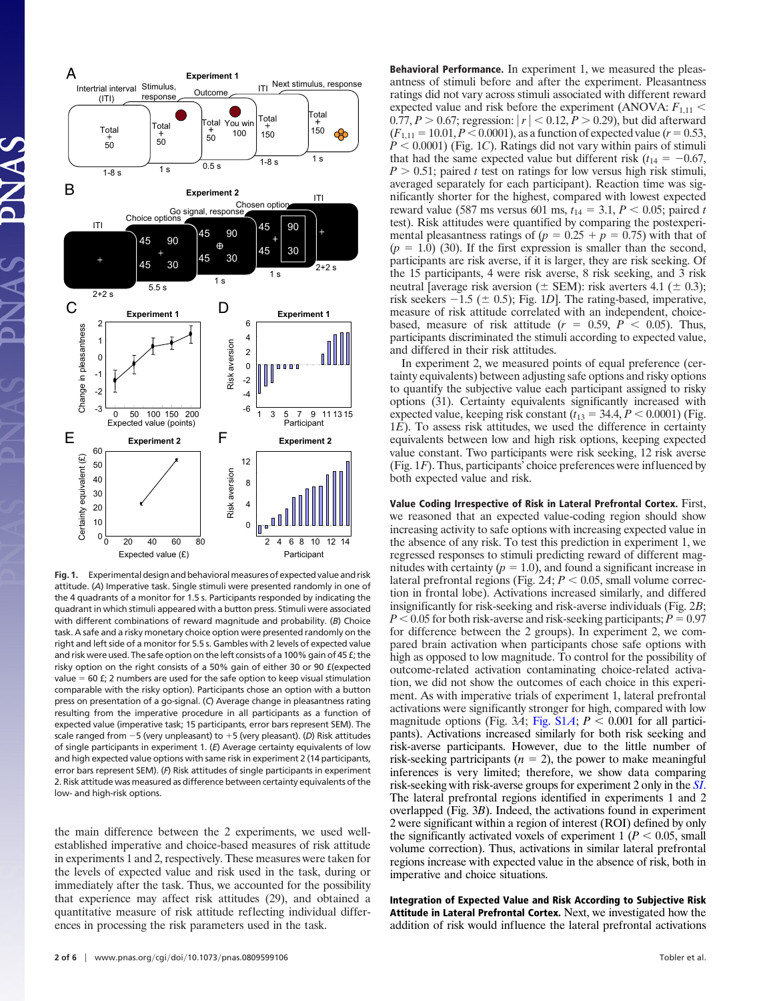

**Fig. 1.** Experimental design and behavioralmeasures of expected value and risk attitude. (*A*) Imperative task. Single stimuli were presented randomly in one of the 4 quadrants of a monitor for 1.5 s. Participants responded by indicating the quadrant in which stimuli appeared with a button press. Stimuli were associated with different combinations of reward magnitude and probability. (*B*) Choice task. A safe and a risky monetary choice option were presented randomly on the right and left side of a monitor for 5.5 s. Gambles with 2 levels of expected value and risk were used. The safe option on the left consists of a 100% gain of 45 £; the risky option on the right consists of a 50% gain of either 30 or 90 £(expected value  $= 60$  £; 2 numbers are used for the safe option to keep visual stimulation comparable with the risky option). Participants chose an option with a button press on presentation of a go-signal. (*C*) Average change in pleasantness rating resulting from the imperative procedure in all participants as a function of expected value (imperative task; 15 participants, error bars represent SEM). The scale ranged from -5 (very unpleasant) to +5 (very pleasant). (D) Risk attitudes of single participants in experiment 1. (*E*) Average certainty equivalents of low and high expected value options with same risk in experiment 2 (14 participants, error bars represent SEM). (*F*) Risk attitudes of single participants in experiment 2. Risk attitude was measured as difference between certainty equivalents of the low- and high-risk options.

the main difference between the 2 experiments, we used wellestablished imperative and choice-based measures of risk attitude in experiments 1 and 2, respectively. These measures were taken for the levels of expected value and risk used in the task, during or immediately after the task. Thus, we accounted for the possibility that experience may affect risk attitudes (29), and obtained a quantitative measure of risk attitude reflecting individual differences in processing the risk parameters used in the task.

**Behavioral Performance.** In experiment 1, we measured the pleasantness of stimuli before and after the experiment. Pleasantness ratings did not vary across stimuli associated with different reward expected value and risk before the experiment (ANOVA:  $F_{1,11}$  <  $0.77, P > 0.67$ ; regression:  $|r| < 0.12, P > 0.29$ ), but did afterward  $(F_{1,11} = 10.01, P \le 0.0001)$ , as a function of expected value ( $r = 0.53$ ,  $P < 0.0001$ ) (Fig. 1*C*). Ratings did not vary within pairs of stimuli that had the same expected value but different risk  $(t_{14} = -0.67,$  $P > 0.51$ ; paired *t* test on ratings for low versus high risk stimuli, averaged separately for each participant). Reaction time was significantly shorter for the highest, compared with lowest expected reward value (587 ms versus 601 ms,  $t_{14} = 3.1, P \lt 0.05$ ; paired *t* test). Risk attitudes were quantified by comparing the postexperimental pleasantness ratings of  $(p = 0.25 + p = 0.75)$  with that of  $(p = 1.0)$  (30). If the first expression is smaller than the second, participants are risk averse, if it is larger, they are risk seeking. Of the 15 participants, 4 were risk averse, 8 risk seeking, and 3 risk neutral [average risk aversion ( $\pm$  SEM): risk averters 4.1 ( $\pm$  0.3); risk seekers  $-1.5$  ( $\pm$  0.5); Fig. 1*D*]. The rating-based, imperative, measure of risk attitude correlated with an independent, choicebased, measure of risk attitude  $(r = 0.59, P < 0.05)$ . Thus, participants discriminated the stimuli according to expected value, and differed in their risk attitudes.

In experiment 2, we measured points of equal preference (certainty equivalents) between adjusting safe options and risky options to quantify the subjective value each participant assigned to risky options (31). Certainty equivalents significantly increased with expected value, keeping risk constant  $(t_{13} = 34.4, P \le 0.0001)$  (Fig. 1*E*). To assess risk attitudes, we used the difference in certainty equivalents between low and high risk options, keeping expected value constant. Two participants were risk seeking, 12 risk averse (Fig. 1*F*). Thus, participants' choice preferences were influenced by both expected value and risk.

**Value Coding Irrespective of Risk in Lateral Prefrontal Cortex.** First, we reasoned that an expected value-coding region should show increasing activity to safe options with increasing expected value in the absence of any risk. To test this prediction in experiment 1, we regressed responses to stimuli predicting reward of different magnitudes with certainty  $(p = 1.0)$ , and found a significant increase in lateral prefrontal regions (Fig.  $2A$ ;  $P < 0.05$ , small volume correction in frontal lobe). Activations increased similarly, and differed insignificantly for risk-seeking and risk-averse individuals (Fig. 2*B*;  $P < 0.05$  for both risk-averse and risk-seeking participants;  $P = 0.97$ for difference between the 2 groups). In experiment 2, we compared brain activation when participants chose safe options with high as opposed to low magnitude. To control for the possibility of outcome-related activation contaminating choice-related activation, we did not show the outcomes of each choice in this experiment. As with imperative trials of experiment 1, lateral prefrontal activations were significantly stronger for high, compared with low magnitude options (Fig. 3A; [Fig. S1](http://www.pnas.org/cgi/data/0809599106/DCSupplemental/Supplemental_PDF#nameddest=SF1)A;  $P < 0.001$  for all participants). Activations increased similarly for both risk seeking and risk-averse participants. However, due to the little number of risk-seeking partricipants  $(n = 2)$ , the power to make meaningful inferences is very limited; therefore, we show data comparing [risk-seeking with risk-averse groups for experiment 2 only in the](http://www.pnas.org/cgi/data/0809599106/DCSupplemental/Supplemental_PDF#nameddest=STXT) *[SI](http://www.pnas.org/cgi/data/0809599106/DCSupplemental/Supplemental_PDF#nameddest=STXT)*. The lateral prefrontal regions identified in experiments 1 and 2 overlapped (Fig. 3*B*). Indeed, the activations found in experiment 2 were significant within a region of interest (ROI) defined by only the significantly activated voxels of experiment  $1 (P < 0.05$ , small volume correction). Thus, activations in similar lateral prefrontal regions increase with expected value in the absence of risk, both in imperative and choice situations.

**Integration of Expected Value and Risk According to Subjective Risk Attitude in Lateral Prefrontal Cortex.** Next, we investigated how the addition of risk would influence the lateral prefrontal activations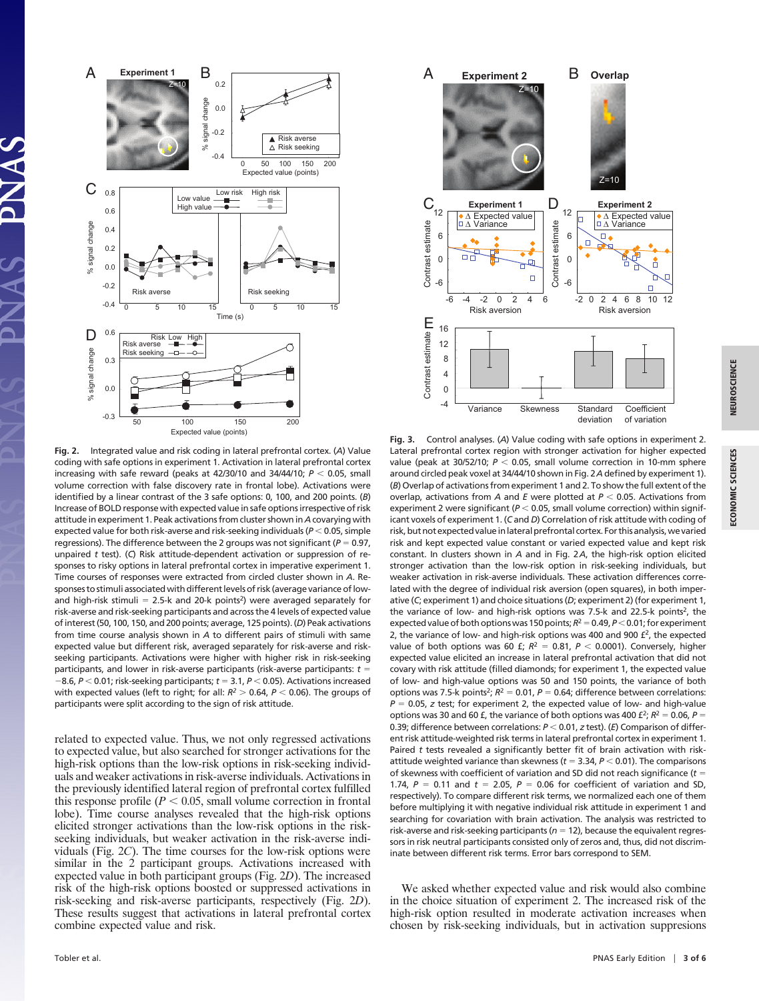

**Fig. 2.** Integrated value and risk coding in lateral prefrontal cortex. (*A*) Value coding with safe options in experiment 1. Activation in lateral prefrontal cortex increasing with safe reward (peaks at  $42/30/10$  and  $34/44/10$ ;  $P < 0.05$ , small volume correction with false discovery rate in frontal lobe). Activations were identified by a linear contrast of the 3 safe options: 0, 100, and 200 points. (*B*) Increase of BOLD response with expected value in safe options irrespective of risk attitude in experiment 1. Peak activations from cluster shown in *A* covarying with expected value for both risk-averse and risk-seeking individuals ( $P < 0.05$ , simple regressions). The difference between the 2 groups was not significant ( $P = 0.97$ , unpaired *t* test). (*C*) Risk attitude-dependent activation or suppression of responses to risky options in lateral prefrontal cortex in imperative experiment 1. Time courses of responses were extracted from circled cluster shown in *A*. Responses to stimuli associated with different levels of risk (average variance of lowand high-risk stimuli  $= 2.5$ -k and 20-k points<sup>2</sup>) were averaged separately for risk-averse and risk-seeking participants and across the 4 levels of expected value of interest (50, 100, 150, and 200 points; average, 125 points). (*D*) Peak activations from time course analysis shown in *A* to different pairs of stimuli with same expected value but different risk, averaged separately for risk-averse and riskseeking participants. Activations were higher with higher risk in risk-seeking participants, and lower in risk-averse participants (risk-averse participants: *t*  $-8.6$ ,  $P < 0.01$ ; risk-seeking participants;  $t = 3.1$ ,  $P < 0.05$ ). Activations increased with expected values (left to right; for all:  $R^2 > 0.64$ ,  $P < 0.06$ ). The groups of participants were split according to the sign of risk attitude.

related to expected value. Thus, we not only regressed activations to expected value, but also searched for stronger activations for the high-risk options than the low-risk options in risk-seeking individuals and weaker activations in risk-averse individuals. Activations in the previously identified lateral region of prefrontal cortex fulfilled this response profile ( $P < 0.05$ , small volume correction in frontal lobe). Time course analyses revealed that the high-risk options elicited stronger activations than the low-risk options in the riskseeking individuals, but weaker activation in the risk-averse individuals (Fig. 2*C*). The time courses for the low-risk options were similar in the 2 participant groups. Activations increased with expected value in both participant groups (Fig. 2*D*). The increased risk of the high-risk options boosted or suppressed activations in risk-seeking and risk-averse participants, respectively (Fig. 2*D*). These results suggest that activations in lateral prefrontal cortex combine expected value and risk.



**Fig. 3.** Control analyses. (*A*) Value coding with safe options in experiment 2. Lateral prefrontal cortex region with stronger activation for higher expected value (peak at 30/52/10;  $P < 0.05$ , small volume correction in 10-mm sphere around circled peak voxel at 34/44/10 shown in Fig. 2*A* defined by experiment 1). (*B*) Overlap of activations from experiment 1 and 2. To show the full extent of the overlap, activations from  $A$  and  $E$  were plotted at  $P < 0.05$ . Activations from experiment 2 were significant ( $P < 0.05$ , small volume correction) within significant voxels of experiment 1. (*C* and *D*) Correlation of risk attitude with coding of risk, but not expected value in lateral prefrontal cortex. For this analysis, we varied risk and kept expected value constant or varied expected value and kept risk constant. In clusters shown in *A* and in Fig. 2*A*, the high-risk option elicited stronger activation than the low-risk option in risk-seeking individuals, but weaker activation in risk-averse individuals. These activation differences correlated with the degree of individual risk aversion (open squares), in both imperative (*C*; experiment 1) and choice situations (*D*; experiment 2) (for experiment 1, the variance of low- and high-risk options was 7.5-k and 22.5-k points2, the expected value of both options was 150 points;  $R^2$  = 0.49,  $P$  < 0.01; for experiment 2, the variance of low- and high-risk options was 400 and 900  $f^2$ , the expected value of both options was 60 £;  $R^2 = 0.81$ ,  $P < 0.0001$ ). Conversely, higher expected value elicited an increase in lateral prefrontal activation that did not covary with risk attitude (filled diamonds; for experiment 1, the expected value of low- and high-value options was 50 and 150 points, the variance of both options was 7.5-k points<sup>2</sup>;  $R^2 = 0.01$ ,  $P = 0.64$ ; difference between correlations:  $P = 0.05$ , *z* test; for experiment 2, the expected value of low- and high-value options was 30 and 60 f, the variance of both options was 400  $f^2$ ;  $R^2 = 0.06$ ,  $P =$ 0.39; difference between correlations:  $P < 0.01$ , *z* test). (*E*) Comparison of different risk attitude-weighted risk terms in lateral prefrontal cortex in experiment 1. Paired *t* tests revealed a significantly better fit of brain activation with riskattitude weighted variance than skewness ( $t = 3.34$ ,  $P < 0.01$ ). The comparisons of skewness with coefficient of variation and SD did not reach significance (*t* 1.74,  $P = 0.11$  and  $t = 2.05$ ,  $P = 0.06$  for coefficient of variation and SD, respectively). To compare different risk terms, we normalized each one of them before multiplying it with negative individual risk attitude in experiment 1 and searching for covariation with brain activation. The analysis was restricted to risk-averse and risk-seeking participants ( $n = 12$ ), because the equivalent regressors in risk neutral participants consisted only of zeros and, thus, did not discriminate between different risk terms. Error bars correspond to SEM.

We asked whether expected value and risk would also combine in the choice situation of experiment 2. The increased risk of the high-risk option resulted in moderate activation increases when chosen by risk-seeking individuals, but in activation suppresions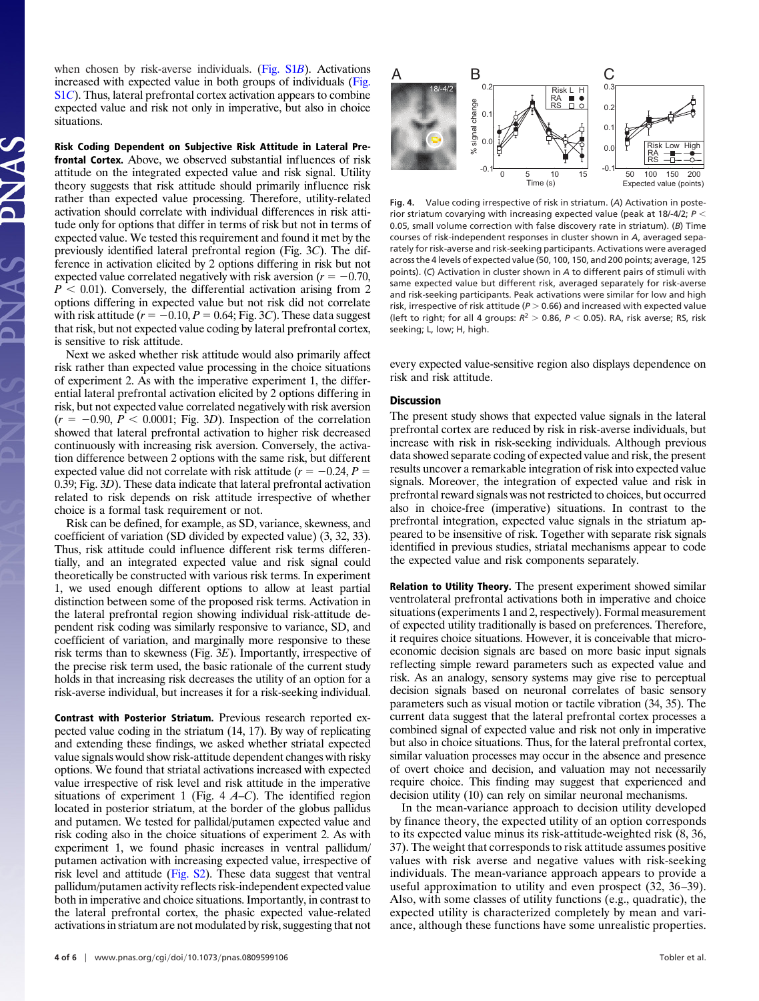when chosen by risk-averse individuals. [\(Fig. S1](http://www.pnas.org/cgi/data/0809599106/DCSupplemental/Supplemental_PDF#nameddest=SF1)*B*). Activations increased with expected value in both groups of individuals [\(Fig.](http://www.pnas.org/cgi/data/0809599106/DCSupplemental/Supplemental_PDF#nameddest=SF1) [S1](http://www.pnas.org/cgi/data/0809599106/DCSupplemental/Supplemental_PDF#nameddest=SF1)*C*). Thus, lateral prefrontal cortex activation appears to combine expected value and risk not only in imperative, but also in choice situations.

**Risk Coding Dependent on Subjective Risk Attitude in Lateral Prefrontal Cortex.** Above, we observed substantial influences of risk attitude on the integrated expected value and risk signal. Utility theory suggests that risk attitude should primarily influence risk rather than expected value processing. Therefore, utility-related activation should correlate with individual differences in risk attitude only for options that differ in terms of risk but not in terms of expected value. We tested this requirement and found it met by the previously identified lateral prefrontal region (Fig. 3*C*). The difference in activation elicited by 2 options differing in risk but not expected value correlated negatively with risk aversion  $(r = -0.70,$  $P < 0.01$ ). Conversely, the differential activation arising from 2 options differing in expected value but not risk did not correlate with risk attitude  $(r = -0.10, P = 0.64; Fig. 3C)$ . These data suggest that risk, but not expected value coding by lateral prefrontal cortex, is sensitive to risk attitude.

Next we asked whether risk attitude would also primarily affect risk rather than expected value processing in the choice situations of experiment 2. As with the imperative experiment 1, the differential lateral prefrontal activation elicited by 2 options differing in risk, but not expected value correlated negatively with risk aversion  $(r = -0.90, P < 0.0001$ ; Fig. 3*D*). Inspection of the correlation showed that lateral prefrontal activation to higher risk decreased continuously with increasing risk aversion. Conversely, the activation difference between 2 options with the same risk, but different expected value did not correlate with risk attitude  $(r = -0.24, P =$ 0.39; Fig. 3*D*). These data indicate that lateral prefrontal activation related to risk depends on risk attitude irrespective of whether choice is a formal task requirement or not.

Risk can be defined, for example, as SD, variance, skewness, and coefficient of variation (SD divided by expected value) (3, 32, 33). Thus, risk attitude could influence different risk terms differentially, and an integrated expected value and risk signal could theoretically be constructed with various risk terms. In experiment 1, we used enough different options to allow at least partial distinction between some of the proposed risk terms. Activation in the lateral prefrontal region showing individual risk-attitude dependent risk coding was similarly responsive to variance, SD, and coefficient of variation, and marginally more responsive to these risk terms than to skewness (Fig. 3*E*). Importantly, irrespective of the precise risk term used, the basic rationale of the current study holds in that increasing risk decreases the utility of an option for a risk-averse individual, but increases it for a risk-seeking individual.

**Contrast with Posterior Striatum.** Previous research reported expected value coding in the striatum (14, 17). By way of replicating and extending these findings, we asked whether striatal expected value signals would show risk-attitude dependent changes with risky options. We found that striatal activations increased with expected value irrespective of risk level and risk attitude in the imperative situations of experiment 1 (Fig. 4 *A*–*C*). The identified region located in posterior striatum, at the border of the globus pallidus and putamen. We tested for pallidal/putamen expected value and risk coding also in the choice situations of experiment 2. As with experiment 1, we found phasic increases in ventral pallidum/ putamen activation with increasing expected value, irrespective of risk level and attitude [\(Fig. S2\)](http://www.pnas.org/cgi/data/0809599106/DCSupplemental/Supplemental_PDF#nameddest=SF2). These data suggest that ventral pallidum/putamen activity reflects risk-independent expected value both in imperative and choice situations. Importantly, in contrast to the lateral prefrontal cortex, the phasic expected value-related activations in striatum are not modulated by risk, suggesting that not

**Fig. 4.** Value coding irrespective of risk in striatum. (*A*) Activation in posterior striatum covarying with increasing expected value (peak at 18/-4/2; *P* 0.05, small volume correction with false discovery rate in striatum). (*B*) Time courses of risk-independent responses in cluster shown in *A*, averaged separately for risk-averse and risk-seeking participants. Activations were averaged across the 4 levels of expected value (50, 100, 150, and 200 points; average, 125 points). (*C*) Activation in cluster shown in *A* to different pairs of stimuli with same expected value but different risk, averaged separately for risk-averse and risk-seeking participants. Peak activations were similar for low and high risk, irrespective of risk attitude ( $P > 0.66$ ) and increased with expected value (left to right; for all 4 groups:  $R^2 > 0.86$ ,  $P < 0.05$ ). RA, risk averse; RS, risk seeking; L, low; H, high.

every expected value-sensitive region also displays dependence on risk and risk attitude.

#### **Discussion**

The present study shows that expected value signals in the lateral prefrontal cortex are reduced by risk in risk-averse individuals, but increase with risk in risk-seeking individuals. Although previous data showed separate coding of expected value and risk, the present results uncover a remarkable integration of risk into expected value signals. Moreover, the integration of expected value and risk in prefrontal reward signals was not restricted to choices, but occurred also in choice-free (imperative) situations. In contrast to the prefrontal integration, expected value signals in the striatum appeared to be insensitive of risk. Together with separate risk signals identified in previous studies, striatal mechanisms appear to code the expected value and risk components separately.

**Relation to Utility Theory.** The present experiment showed similar ventrolateral prefrontal activations both in imperative and choice situations (experiments 1 and 2, respectively). Formal measurement of expected utility traditionally is based on preferences. Therefore, it requires choice situations. However, it is conceivable that microeconomic decision signals are based on more basic input signals reflecting simple reward parameters such as expected value and risk. As an analogy, sensory systems may give rise to perceptual decision signals based on neuronal correlates of basic sensory parameters such as visual motion or tactile vibration (34, 35). The current data suggest that the lateral prefrontal cortex processes a combined signal of expected value and risk not only in imperative but also in choice situations. Thus, for the lateral prefrontal cortex, similar valuation processes may occur in the absence and presence of overt choice and decision, and valuation may not necessarily require choice. This finding may suggest that experienced and decision utility (10) can rely on similar neuronal mechanisms.

In the mean-variance approach to decision utility developed by finance theory, the expected utility of an option corresponds to its expected value minus its risk-attitude-weighted risk (8, 36, 37). The weight that corresponds to risk attitude assumes positive values with risk averse and negative values with risk-seeking individuals. The mean-variance approach appears to provide a useful approximation to utility and even prospect (32, 36–39). Also, with some classes of utility functions (e.g., quadratic), the expected utility is characterized completely by mean and variance, although these functions have some unrealistic properties.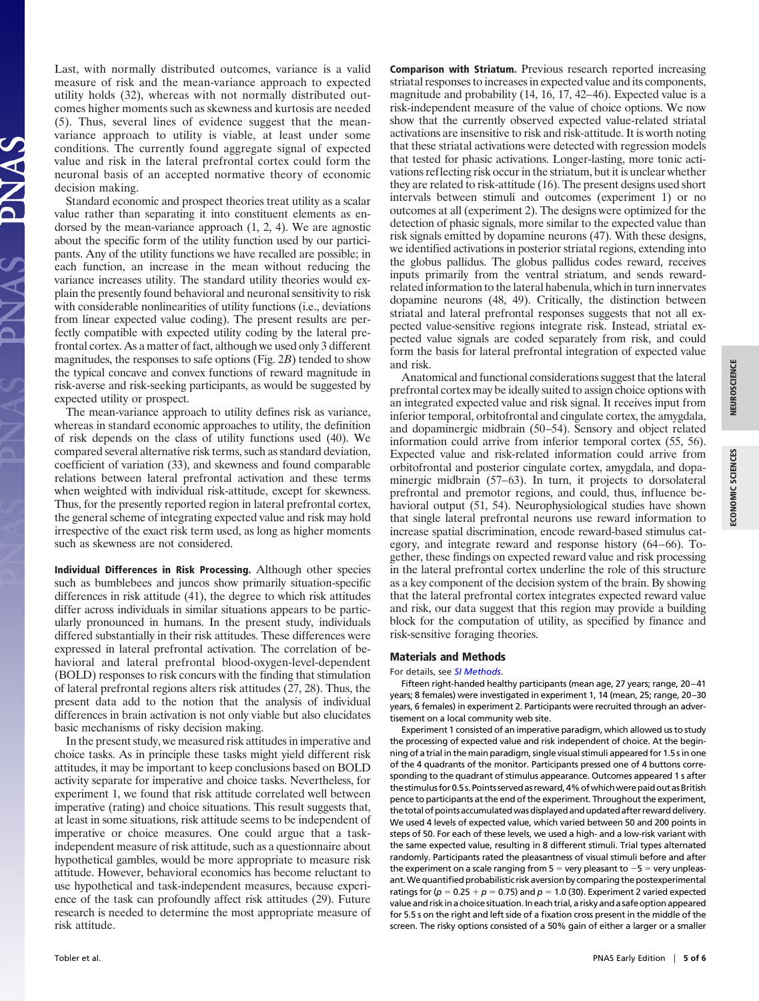Last, with normally distributed outcomes, variance is a valid measure of risk and the mean-variance approach to expected utility holds (32), whereas with not normally distributed outcomes higher moments such as skewness and kurtosis are needed (5). Thus, several lines of evidence suggest that the meanvariance approach to utility is viable, at least under some conditions. The currently found aggregate signal of expected value and risk in the lateral prefrontal cortex could form the neuronal basis of an accepted normative theory of economic decision making.

Standard economic and prospect theories treat utility as a scalar value rather than separating it into constituent elements as endorsed by the mean-variance approach (1, 2, 4). We are agnostic about the specific form of the utility function used by our participants. Any of the utility functions we have recalled are possible; in each function, an increase in the mean without reducing the variance increases utility. The standard utility theories would explain the presently found behavioral and neuronal sensitivity to risk with considerable nonlinearities of utility functions (i.e., deviations from linear expected value coding). The present results are perfectly compatible with expected utility coding by the lateral prefrontal cortex. As a matter of fact, although we used only 3 different magnitudes, the responses to safe options (Fig. 2*B*) tended to show the typical concave and convex functions of reward magnitude in risk-averse and risk-seeking participants, as would be suggested by expected utility or prospect.

The mean-variance approach to utility defines risk as variance, whereas in standard economic approaches to utility, the definition of risk depends on the class of utility functions used (40). We compared several alternative risk terms, such as standard deviation, coefficient of variation (33), and skewness and found comparable relations between lateral prefrontal activation and these terms when weighted with individual risk-attitude, except for skewness. Thus, for the presently reported region in lateral prefrontal cortex, the general scheme of integrating expected value and risk may hold irrespective of the exact risk term used, as long as higher moments such as skewness are not considered.

**Individual Differences in Risk Processing.** Although other species such as bumblebees and juncos show primarily situation-specific differences in risk attitude (41), the degree to which risk attitudes differ across individuals in similar situations appears to be particularly pronounced in humans. In the present study, individuals differed substantially in their risk attitudes. These differences were expressed in lateral prefrontal activation. The correlation of behavioral and lateral prefrontal blood-oxygen-level-dependent (BOLD) responses to risk concurs with the finding that stimulation of lateral prefrontal regions alters risk attitudes (27, 28). Thus, the present data add to the notion that the analysis of individual differences in brain activation is not only viable but also elucidates basic mechanisms of risky decision making.

In the present study, we measured risk attitudes in imperative and choice tasks. As in principle these tasks might yield different risk attitudes, it may be important to keep conclusions based on BOLD activity separate for imperative and choice tasks. Nevertheless, for experiment 1, we found that risk attitude correlated well between imperative (rating) and choice situations. This result suggests that, at least in some situations, risk attitude seems to be independent of imperative or choice measures. One could argue that a taskindependent measure of risk attitude, such as a questionnaire about hypothetical gambles, would be more appropriate to measure risk attitude. However, behavioral economics has become reluctant to use hypothetical and task-independent measures, because experience of the task can profoundly affect risk attitudes (29). Future research is needed to determine the most appropriate measure of risk attitude.

**Comparison with Striatum.** Previous research reported increasing striatal responses to increases in expected value and its components, magnitude and probability (14, 16, 17, 42–46). Expected value is a risk-independent measure of the value of choice options. We now show that the currently observed expected value-related striatal activations are insensitive to risk and risk-attitude. It is worth noting that these striatal activations were detected with regression models that tested for phasic activations. Longer-lasting, more tonic activations reflecting risk occur in the striatum, but it is unclear whether they are related to risk-attitude (16). The present designs used short intervals between stimuli and outcomes (experiment 1) or no outcomes at all (experiment 2). The designs were optimized for the detection of phasic signals, more similar to the expected value than risk signals emitted by dopamine neurons (47). With these designs, we identified activations in posterior striatal regions, extending into the globus pallidus. The globus pallidus codes reward, receives inputs primarily from the ventral striatum, and sends rewardrelated information to the lateral habenula, which in turn innervates dopamine neurons (48, 49). Critically, the distinction between striatal and lateral prefrontal responses suggests that not all expected value-sensitive regions integrate risk. Instead, striatal expected value signals are coded separately from risk, and could form the basis for lateral prefrontal integration of expected value and risk.

Anatomical and functional considerations suggest that the lateral prefrontal cortex may be ideally suited to assign choice options with an integrated expected value and risk signal. It receives input from inferior temporal, orbitofrontal and cingulate cortex, the amygdala, and dopaminergic midbrain (50–54). Sensory and object related information could arrive from inferior temporal cortex (55, 56). Expected value and risk-related information could arrive from orbitofrontal and posterior cingulate cortex, amygdala, and dopaminergic midbrain (57–63). In turn, it projects to dorsolateral prefrontal and premotor regions, and could, thus, influence behavioral output (51, 54). Neurophysiological studies have shown that single lateral prefrontal neurons use reward information to increase spatial discrimination, encode reward-based stimulus category, and integrate reward and response history (64–66). Together, these findings on expected reward value and risk processing in the lateral prefrontal cortex underline the role of this structure as a key component of the decision system of the brain. By showing that the lateral prefrontal cortex integrates expected reward value and risk, our data suggest that this region may provide a building block for the computation of utility, as specified by finance and risk-sensitive foraging theories.

#### **Materials and Methods**

#### For details, see *[SI Methods](http://www.pnas.org/cgi/data/0809599106/DCSupplemental/Supplemental_PDF#nameddest=STXT)*.

Fifteen right-handed healthy participants (mean age, 27 years; range, 20 –41 years; 8 females) were investigated in experiment 1, 14 (mean, 25; range, 20 –30 years, 6 females) in experiment 2. Participants were recruited through an advertisement on a local community web site.

Experiment 1 consisted of an imperative paradigm, which allowed us to study the processing of expected value and risk independent of choice. At the beginning of a trial in the main paradigm, single visual stimuli appeared for 1.5 s in one of the 4 quadrants of the monitor. Participants pressed one of 4 buttons corresponding to the quadrant of stimulus appearance. Outcomes appeared 1 s after the stimulus for 0.5 s. Points served as reward, 4% of which were paid out as British pence to participants at the end of the experiment. Throughout the experiment, the total of points accumulatedwas displayed and updated after reward delivery. We used 4 levels of expected value, which varied between 50 and 200 points in steps of 50. For each of these levels, we used a high- and a low-risk variant with the same expected value, resulting in 8 different stimuli. Trial types alternated randomly. Participants rated the pleasantness of visual stimuli before and after the experiment on a scale ranging from  $5 =$  very pleasant to  $-5 =$  very unpleasant.We quantified probabilistic risk aversion by comparing the postexperimental ratings for  $(p = 0.25 + p = 0.75)$  and  $p = 1.0$  (30). Experiment 2 varied expected value and risk in a choice situation. In each trial, a risky and a safe option appeared for 5.5 s on the right and left side of a fixation cross present in the middle of the screen. The risky options consisted of a 50% gain of either a larger or a smaller